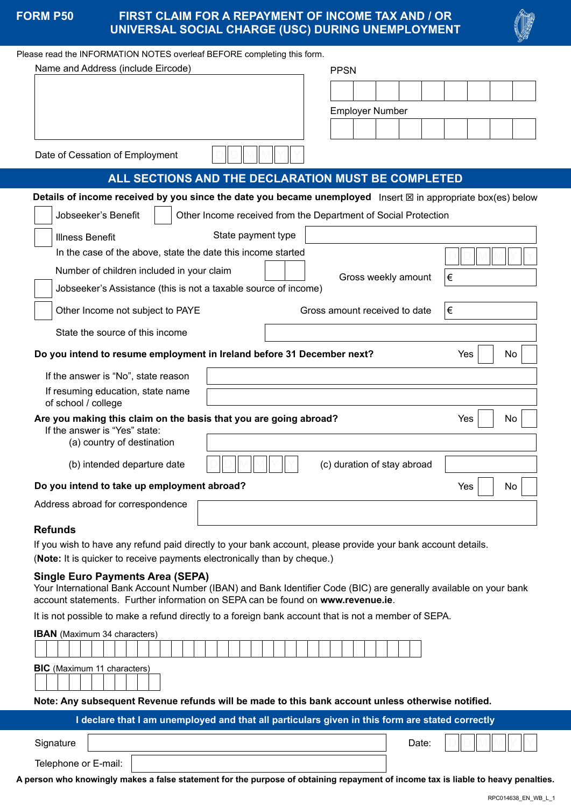|  |  | <b>FORM P50</b> |  |
|--|--|-----------------|--|
|  |  |                 |  |

# **FIRST CLAIM FOR A REPAYMENT OF INCOME TAX AND / OR UNIVERSAL SOCIAL CHARGE (USC) DURING UNEMPLOYMENT**



#### Please read the INFORMATION NOTES overleaf BEFORE completing this form.

| Name and Address (include Eircode)<br><b>PPSN</b>                                                                                                                                                    |                                    |  |  |  |  |  |  |
|------------------------------------------------------------------------------------------------------------------------------------------------------------------------------------------------------|------------------------------------|--|--|--|--|--|--|
|                                                                                                                                                                                                      |                                    |  |  |  |  |  |  |
|                                                                                                                                                                                                      | <b>Employer Number</b>             |  |  |  |  |  |  |
|                                                                                                                                                                                                      |                                    |  |  |  |  |  |  |
| Date of Cessation of Employment                                                                                                                                                                      |                                    |  |  |  |  |  |  |
| ALL SECTIONS AND THE DECLARATION MUST BE COMPLETED                                                                                                                                                   |                                    |  |  |  |  |  |  |
| Details of income received by you since the date you became unemployed Insert $\boxtimes$ in appropriate box(es) below                                                                               |                                    |  |  |  |  |  |  |
| Jobseeker's Benefit<br>Other Income received from the Department of Social Protection                                                                                                                |                                    |  |  |  |  |  |  |
| State payment type<br><b>Illness Benefit</b>                                                                                                                                                         |                                    |  |  |  |  |  |  |
| In the case of the above, state the date this income started                                                                                                                                         |                                    |  |  |  |  |  |  |
| Number of children included in your claim                                                                                                                                                            | Gross weekly amount<br>∣€          |  |  |  |  |  |  |
| Jobseeker's Assistance (this is not a taxable source of income)                                                                                                                                      |                                    |  |  |  |  |  |  |
| Other Income not subject to PAYE                                                                                                                                                                     | Gross amount received to date<br>€ |  |  |  |  |  |  |
| State the source of this income                                                                                                                                                                      |                                    |  |  |  |  |  |  |
| Do you intend to resume employment in Ireland before 31 December next?<br>Yes<br>No                                                                                                                  |                                    |  |  |  |  |  |  |
| If the answer is "No", state reason                                                                                                                                                                  |                                    |  |  |  |  |  |  |
| If resuming education, state name<br>of school / college                                                                                                                                             |                                    |  |  |  |  |  |  |
| Are you making this claim on the basis that you are going abroad?                                                                                                                                    | Yes<br>No                          |  |  |  |  |  |  |
| If the answer is "Yes" state:<br>(a) country of destination                                                                                                                                          |                                    |  |  |  |  |  |  |
| (b) intended departure date                                                                                                                                                                          | (c) duration of stay abroad        |  |  |  |  |  |  |
| Yes<br>Do you intend to take up employment abroad?<br>No                                                                                                                                             |                                    |  |  |  |  |  |  |
| Address abroad for correspondence                                                                                                                                                                    |                                    |  |  |  |  |  |  |
| <b>Refunds</b>                                                                                                                                                                                       |                                    |  |  |  |  |  |  |
| If you wish to have any refund paid directly to your bank account, please provide your bank account details.<br>(Note: It is quicker to receive payments electronically than by cheque.)             |                                    |  |  |  |  |  |  |
| <b>Single Euro Payments Area (SEPA)</b>                                                                                                                                                              |                                    |  |  |  |  |  |  |
| Your International Bank Account Number (IBAN) and Bank Identifier Code (BIC) are generally available on your bank<br>account statements. Further information on SEPA can be found on www.revenue.ie. |                                    |  |  |  |  |  |  |
| It is not possible to make a refund directly to a foreign bank account that is not a member of SEPA.                                                                                                 |                                    |  |  |  |  |  |  |
| <b>IBAN</b> (Maximum 34 characters)                                                                                                                                                                  |                                    |  |  |  |  |  |  |
| <b>BIC</b> (Maximum 11 characters)                                                                                                                                                                   |                                    |  |  |  |  |  |  |
| Note: Any subsequent Revenue refunds will be made to this bank account unless otherwise notified.                                                                                                    |                                    |  |  |  |  |  |  |
| I declare that I am unemployed and that all particulars given in this form are stated correctly                                                                                                      |                                    |  |  |  |  |  |  |
|                                                                                                                                                                                                      |                                    |  |  |  |  |  |  |

**Signature** 

Telephone or E-mail:

**A person who knowingly makes a false statement for the purpose of obtaining repayment of income tax is liable to heavy penalties.**

Date: